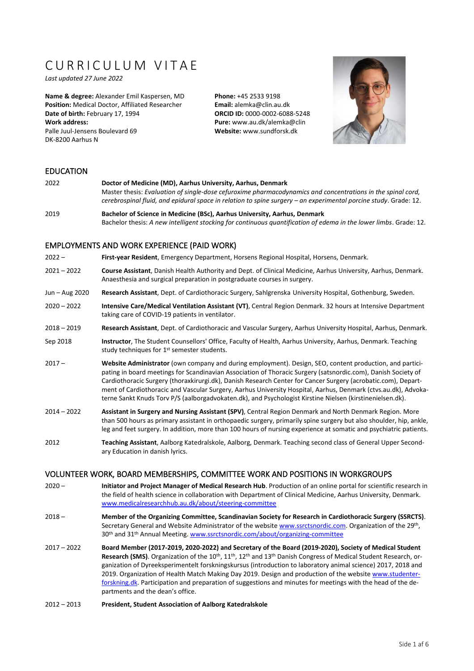# CURRICULUM VITAF

*Last updated 27 June 2022*

**Name & degree:** Alexander Emil Kaspersen, MD **Position:** Medical Doctor, Affiliated Researcher **Date of birth:** February 17, 1994 **Work address:** Palle Juul-Jensens Boulevard 69 DK-8200 Aarhus N

**Phone:** +45 2533 9198 **Email:** [alemka@clin.au.dk](mailto:alemka@clin.au.dk) **ORCID ID:** [0000-0002-6088-5248](https://orcid.org/0000-0002-6088-5248) **Pure:** www.au.dk/alemka@clin **Website:** [www.sundforsk.dk](http://www.sundforsk.dk/)



#### EDUCATION

2022 **Doctor of Medicine (MD), Aarhus University, Aarhus, Denmark** Master thesis: *Evaluation of single-dose cefuroxime pharmacodynamics and concentrations in the spinal cord, cerebrospinal fluid, and epidural space in relation to spine surgery - an experimental porcine study.* Grade: 12. 2019 **Bachelor of Science in Medicine (BSc), Aarhus University, Aarhus, Denmark**

Bachelor thesis: *A new intelligent stocking for continuous quantification of edema in the lower limbs*. Grade: 12.

#### EMPLOYMENTS AND WORK EXPERIENCE (PAID WORK)

2022 – **First-year Resident**, Emergency Department, Horsens Regional Hospital, Horsens, Denmark.

- 2021 2022 **Course Assistant**, Danish Health Authority and Dept. of Clinical Medicine, Aarhus University, Aarhus, Denmark. Anaesthesia and surgical preparation in postgraduate courses in surgery.
- Jun Aug 2020 **Research Assistant**, Dept. of Cardiothoracic Surgery, Sahlgrenska University Hospital, Gothenburg, Sweden.
- 2020 2022 **Intensive Care/Medical Ventilation Assistant (VT)**, Central Region Denmark. 32 hours at Intensive Department taking care of COVID-19 patients in ventilator.
- 2018 2019 **Research Assistant**, Dept. of Cardiothoracic and Vascular Surgery, Aarhus University Hospital, Aarhus, Denmark.
- Sep 2018 **Instructor**, The Student Counsellors' Office, Faculty of Health, Aarhus University, Aarhus, Denmark. Teaching study techniques for 1<sup>st</sup> semester students.
- 2017 **Website Administrator** (own company and during employment). Design, SEO, content production, and participating in board meetings for Scandinavian Association of Thoracic Surgery (satsnordic.com), Danish Society of Cardiothoracic Surgery (thoraxkirurgi.dk), Danish Research Center for Cancer Surgery (acrobatic.com), Department of Cardiothoracic and Vascular Surgery, Aarhus University Hospital, Aarhus, Denmark (ctvs.au.dk), Advokaterne Sankt Knuds Torv P/S (aalborgadvokaten.dk), and Psychologist Kirstine Nielsen (kirstinenielsen.dk).
- 2014 2022 **Assistant in Surgery and Nursing Assistant (SPV)**, Central Region Denmark and North Denmark Region. More than 500 hours as primary assistant in orthopaedic surgery, primarily spine surgery but also shoulder, hip, ankle, leg and feet surgery. In addition, more than 100 hours of nursing experience at somatic and psychiatric patients.
- 2012 **Teaching Assistant**, Aalborg Katedralskole, Aalborg, Denmark. Teaching second class of General Upper Secondary Education in danish lyrics.

# VOLUNTEER WORK, BOARD MEMBERSHIPS, COMMITTEE WORK AND POSITIONS IN WORKGROUPS

- 2020 **Initiator and Project Manager of Medical Research Hub**. Production of an online portal for scientific research in the field of health science in collaboration with Department of Clinical Medicine, Aarhus University, Denmark. [www.medicalresearchhub.au.dk/about/steering-committee](http://www.medicalresearchhub.au.dk/about/steering-committee)
- 2018 **Member of the Organizing Committee, Scandinavian Society for Research in Cardiothoracic Surgery (SSRCTS)**. Secretary General and Website Administrator of the websit[e www.ssrctsnordic.com.](http://www.ssrctsnordic.com/) Organization of the 29<sup>th</sup>, 30th and 31th Annual Meeting. [www.ssrctsnordic.com/about/organizing-committee](http://www.ssrctsnordic.com/about/organizing-committee)
- 2017 2022 **Board Member (2017-2019, 2020-2022) and Secretary of the Board (2019-2020), Society of Medical Student Research (SMS)**. Organization of the 10<sup>th</sup>, 11<sup>th</sup>, 12<sup>th</sup> and 13<sup>th</sup> Danish Congress of Medical Student Research, organization of Dyreeksperimentelt forskningskursus (introduction to laboratory animal science) 2017, 2018 and 2019. Organization of Health Match Making Day 2019. Design and production of the websit[e www.studenter](http://www.studenterforskning.dk/)[forskning.dk.](http://www.studenterforskning.dk/) Participation and preparation of suggestions and minutes for meetings with the head of the departments and the dean's office.
- 2012 2013 **President, Student Association of Aalborg Katedralskole**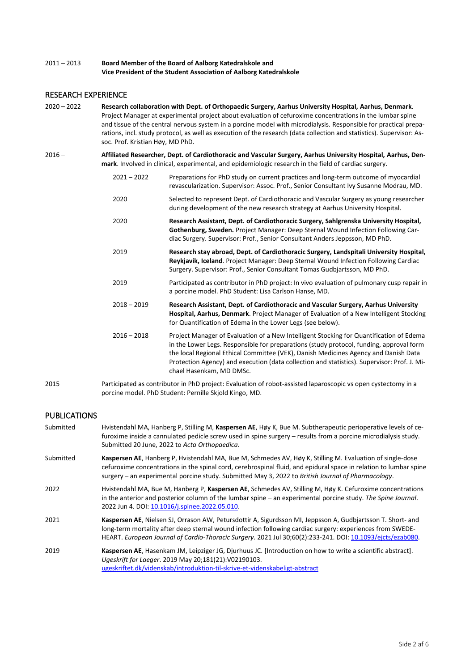#### 2011 – 2013 **Board Member of the Board of Aalborg Katedralskole and Vice President of the Student Association of Aalborg Katedralskole**

# RESEARCH EXPERIENCE

- 2020 2022 **Research collaboration with Dept. of Orthopaedic Surgery, Aarhus University Hospital, Aarhus, Denmark**. Project Manager at experimental project about evaluation of cefuroxime concentrations in the lumbar spine and tissue of the central nervous system in a porcine model with microdialysis. Responsible for practical preparations, incl. study protocol, as well as execution of the research (data collection and statistics). Supervisor: Assoc. Prof. Kristian Høy, MD PhD.
- 2016 **Affiliated Researcher, Dept. of Cardiothoracic and Vascular Surgery, Aarhus University Hospital, Aarhus, Denmark**. Involved in clinical, experimental, and epidemiologic research in the field of cardiac surgery.
	- 2021 2022 Preparations for PhD study on current practices and long-term outcome of myocardial revascularization. Supervisor: Assoc. Prof., Senior Consultant Ivy Susanne Modrau, MD.
	- 2020 Selected to represent Dept. of Cardiothoracic and Vascular Surgery as young researcher during development of the new research strategy at Aarhus University Hospital.
	- 2020 **Research Assistant, Dept. of Cardiothoracic Surgery, Sahlgrenska University Hospital, Gothenburg, Sweden.** Project Manager: Deep Sternal Wound Infection Following Cardiac Surgery. Supervisor: Prof., Senior Consultant Anders Jeppsson, MD PhD.
	- 2019 **Research stay abroad, Dept. of Cardiothoracic Surgery, Landspitali University Hospital, Reykjavik, Iceland**. Project Manager: Deep Sternal Wound Infection Following Cardiac Surgery. Supervisor: Prof., Senior Consultant Tomas Gudbjartsson, MD PhD.
	- 2019 Participated as contributor in PhD project: In vivo evaluation of pulmonary cusp repair in a porcine model. PhD Student: Lisa Carlson Hanse, MD.
	- 2018 2019 **Research Assistant, Dept. of Cardiothoracic and Vascular Surgery, Aarhus University Hospital, Aarhus, Denmark**. Project Manager of Evaluation of a New Intelligent Stocking for Quantification of Edema in the Lower Legs (see below).
	- 2016 2018 Project Manager of Evaluation of a New Intelligent Stocking for Quantification of Edema in the Lower Legs. Responsible for preparations (study protocol, funding, approval form the local Regional Ethical Committee (VEK), Danish Medicines Agency and Danish Data Protection Agency) and execution (data collection and statistics). Supervisor: Prof. J. Michael Hasenkam, MD DMSc.
- 2015 Participated as contributor in PhD project: Evaluation of robot-assisted laparoscopic vs open cystectomy in a porcine model. PhD Student: Pernille Skjold Kingo, MD.

# PUBLICATIONS

Submitted Hvistendahl MA, Hanberg P, Stilling M, **Kaspersen AE**, Høy K, Bue M. Subtherapeutic perioperative levels of cefuroxime inside a cannulated pedicle screw used in spine surgery – results from a porcine microdialysis study. Submitted 20 June, 2022 to *Acta Orthopaedica*. Submitted **Kaspersen AE**, Hanberg P, Hvistendahl MA, Bue M, Schmedes AV, Høy K, Stilling M. Evaluation of single-dose cefuroxime concentrations in the spinal cord, cerebrospinal fluid, and epidural space in relation to lumbar spine surgery – an experimental porcine study. Submitted May 3, 2022 to *British Journal of Pharmacology*. 2022 Hvistendahl MA, Bue M, Hanberg P, **Kaspersen AE**, Schmedes AV, Stilling M, Høy K. Cefuroxime concentrations in the anterior and posterior column of the lumbar spine – an experimental porcine study. *The Spine Journal*. 2022 Jun 4. DOI[: 10.1016/j.spinee.2022.05.010.](https://www.thespinejournalonline.com/article/S1529-9430(22)00233-9/fulltext) 2021 **Kaspersen AE**, Nielsen SJ, Orrason AW, Petursdottir A, Sigurdsson MI, Jeppsson A, Gudbjartsson T. Short- and long-term mortality after deep sternal wound infection following cardiac surgery: experiences from SWEDE-HEART. *European Journal of Cardio-Thoracic Surgery*. 2021 Jul 30;60(2):233-241. DOI[: 10.1093/ejcts/ezab080.](https://doi.org/10.1093/ejcts/ezab080) 2019 **Kaspersen AE**, Hasenkam JM, Leipziger JG, Djurhuus JC. [Introduction on how to write a scientific abstract]. *Ugeskrift for Laeger*. 2019 May 20;181(21):V02190103. [ugeskriftet.dk/videnskab/introduktion-til-skrive-et-videnskabeligt-abstract](https://ugeskriftet.dk/videnskab/introduktion-til-skrive-et-videnskabeligt-abstract)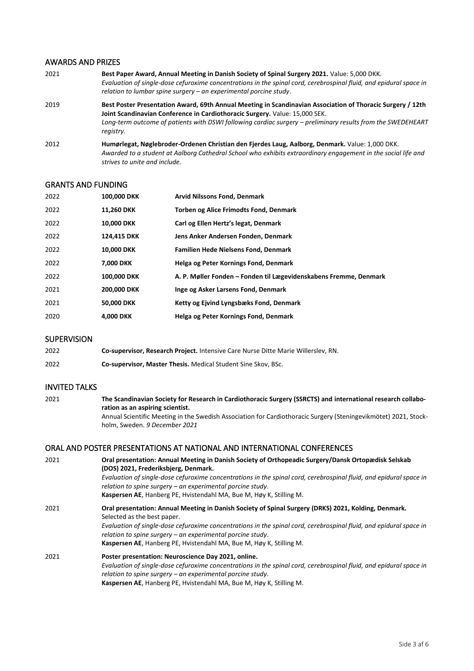#### AWARDS AND PRIZES

| 2021 | Best Paper Award, Annual Meeting in Danish Society of Spinal Surgery 2021. Value: 5,000 DKK.                       |
|------|--------------------------------------------------------------------------------------------------------------------|
|      | Evaluation of single-dose cefuroxime concentrations in the spinal cord, cerebrospinal fluid, and epidural space in |
|      | relation to lumbar spine surgery – an experimental porcine study.                                                  |

2019 **Best Poster Presentation Award, 69th Annual Meeting in Scandinavian Association of Thoracic Surgery / 12th Joint Scandinavian Conference in Cardiothoracic Surgery.** Value: 15,000 SEK. *Long-term outcome of patients with DSWI following cardiac surgery – preliminary results from the SWEDEHEART registry.*

2012 **Humørlegat, Nøglebroder-Ordenen Christian den Fjerdes Laug, Aalborg, Denmark.** Value: 1,000 DKK. *Awarded to a student at Aalborg Cathedral School who exhibits extraordinary engagement in the social life and strives to unite and include.*

#### GRANTS AND FUNDING

| 2022 | 100,000 DKK        | <b>Arvid Nilssons Fond, Denmark</b>                               |
|------|--------------------|-------------------------------------------------------------------|
| 2022 | 11,260 DKK         | <b>Torben og Alice Frimodts Fond, Denmark</b>                     |
| 2022 | <b>10.000 DKK</b>  | Carl og Ellen Hertz's legat, Denmark                              |
| 2022 | 124.415 DKK        | Jens Anker Andersen Fonden, Denmark                               |
| 2022 | <b>10.000 DKK</b>  | <b>Familien Hede Nielsens Fond, Denmark</b>                       |
| 2022 | <b>7.000 DKK</b>   | Helga og Peter Kornings Fond, Denmark                             |
| 2022 | <b>100.000 DKK</b> | A. P. Møller Fonden – Fonden til Lægevidenskabens Fremme, Denmark |
| 2021 | 200,000 DKK        | Inge og Asker Larsens Fond, Denmark                               |
| 2021 | <b>50.000 DKK</b>  | Ketty og Ejvind Lyngsbæks Fond, Denmark                           |
| 2020 | <b>4.000 DKK</b>   | Helga og Peter Kornings Fond, Denmark                             |

# **SUPERVISION**

| 2022 | Co-supervisor, Research Project. Intensive Care Nurse Ditte Marie Willerslev, RN. |
|------|-----------------------------------------------------------------------------------|
| 2022 | Co-supervisor, Master Thesis. Medical Student Sine Skov, BSc.                     |

#### INVITED TALKS

2021 **The Scandinavian Society for Research in Cardiothoracic Surgery (SSRCTS) and international research collaboration as an aspiring scientist.** Annual Scientific Meeting in the Swedish Association for Cardiothoracic Surgery (Steningevikmötet) 2021, Stockholm, Sweden. *9 December 2021*

#### ORAL AND POSTER PRESENTATIONS AT NATIONAL AND INTERNATIONAL CONFERENCES

| 2021 | Oral presentation: Annual Meeting in Danish Society of Orthopeadic Surgery/Dansk Ortopædisk Selskab<br>(DOS) 2021, Frederiksbjerg, Denmark.                                      |
|------|----------------------------------------------------------------------------------------------------------------------------------------------------------------------------------|
|      | Evaluation of single-dose cefuroxime concentrations in the spinal cord, cerebrospinal fluid, and epidural space in<br>relation to spine surgery - an experimental porcine study. |
|      | Kaspersen AE, Hanberg PE, Hvistendahl MA, Bue M, Høy K, Stilling M.                                                                                                              |
| 2021 | Oral presentation: Annual Meeting in Danish Society of Spinal Surgery (DRKS) 2021, Kolding, Denmark.<br>Selected as the best paper.                                              |
|      | Evaluation of single-dose cefuroxime concentrations in the spinal cord, cerebrospinal fluid, and epidural space in<br>relation to spine surgery – an experimental porcine study. |
|      | Kaspersen AE, Hanberg PE, Hvistendahl MA, Bue M, Høy K, Stilling M.                                                                                                              |
| 2021 | Poster presentation: Neuroscience Day 2021, online.                                                                                                                              |
|      | Evaluation of single-dose cefuroxime concentrations in the spinal cord, cerebrospinal fluid, and epidural space in                                                               |
|      | relation to spine surgery $-$ an experimental porcine study.                                                                                                                     |
|      | Kaspersen AE, Hanberg PE, Hvistendahl MA, Bue M, Høy K, Stilling M.                                                                                                              |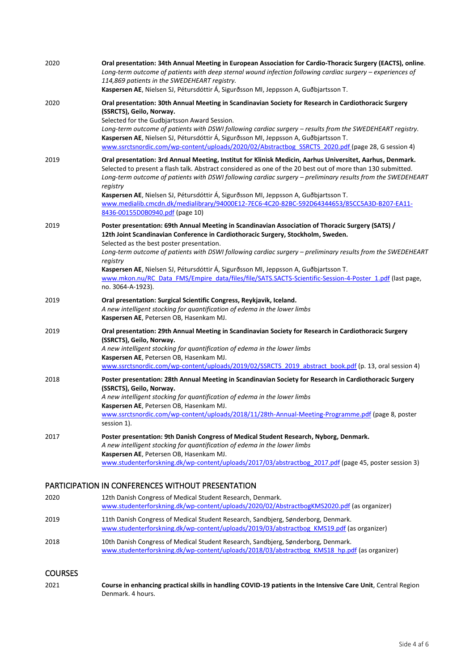| 2020 | Oral presentation: 34th Annual Meeting in European Association for Cardio-Thoracic Surgery (EACTS), online.<br>Long-term outcome of patients with deep sternal wound infection following cardiac surgery - experiences of<br>114,869 patients in the SWEDEHEART registry.<br>Kaspersen AE, Nielsen SJ, Pétursdóttir Á, Sigurðsson MI, Jeppsson A, Guðbjartsson T.                                                                                                                                                                                                                     |
|------|---------------------------------------------------------------------------------------------------------------------------------------------------------------------------------------------------------------------------------------------------------------------------------------------------------------------------------------------------------------------------------------------------------------------------------------------------------------------------------------------------------------------------------------------------------------------------------------|
| 2020 | Oral presentation: 30th Annual Meeting in Scandinavian Society for Research in Cardiothoracic Surgery<br>(SSRCTS), Geilo, Norway.<br>Selected for the Gudbjartsson Award Session.<br>Long-term outcome of patients with DSWI following cardiac surgery - results from the SWEDEHEART registry.<br>Kaspersen AE, Nielsen SJ, Pétursdóttir Á, Sigurðsson MI, Jeppsson A, Guðbjartsson T.<br>www.ssrctsnordic.com/wp-content/uploads/2020/02/Abstractbog SSRCTS 2020.pdf (page 28, G session 4)                                                                                          |
| 2019 | Oral presentation: 3rd Annual Meeting, Institut for Klinisk Medicin, Aarhus Universitet, Aarhus, Denmark.<br>Selected to present a flash talk. Abstract considered as one of the 20 best out of more than 130 submitted.<br>Long-term outcome of patients with DSWI following cardiac surgery - preliminary results from the SWEDEHEART<br>registry<br>Kaspersen AE, Nielsen SJ, Pétursdóttir Á, Sigurðsson MI, Jeppsson A, Guðbjartsson T.<br>www.medialib.cmcdn.dk/medialibrary/94000E12-7EC6-4C20-82BC-592D64344653/85CC5A3D-B207-EA11-<br>8436-00155D0B0940.pdf (page 10)         |
| 2019 | Poster presentation: 69th Annual Meeting in Scandinavian Association of Thoracic Surgery (SATS) /<br>12th Joint Scandinavian Conference in Cardiothoracic Surgery, Stockholm, Sweden.<br>Selected as the best poster presentation.<br>Long-term outcome of patients with DSWI following cardiac surgery - preliminary results from the SWEDEHEART<br>registry<br>Kaspersen AE, Nielsen SJ, Pétursdóttir Á, Sigurðsson MI, Jeppsson A, Guðbjartsson T.<br>www.mkon.nu/RC Data FMS/Empire data/files/file/SATS.SACTS-Scientific-Session-4-Poster 1.pdf (last page,<br>no. 3064-A-1923). |
| 2019 | Oral presentation: Surgical Scientific Congress, Reykjavik, Iceland.<br>A new intelligent stocking for quantification of edema in the lower limbs<br>Kaspersen AE, Petersen OB, Hasenkam MJ.                                                                                                                                                                                                                                                                                                                                                                                          |
| 2019 | Oral presentation: 29th Annual Meeting in Scandinavian Society for Research in Cardiothoracic Surgery<br>(SSRCTS), Geilo, Norway.<br>A new intelligent stocking for quantification of edema in the lower limbs<br>Kaspersen AE, Petersen OB, Hasenkam MJ.<br>www.ssrctsnordic.com/wp-content/uploads/2019/02/SSRCTS 2019 abstract book.pdf (p. 13, oral session 4)                                                                                                                                                                                                                    |
| 2018 | Poster presentation: 28th Annual Meeting in Scandinavian Society for Research in Cardiothoracic Surgery<br>(SSRCTS), Geilo, Norway.<br>A new intelligent stocking for quantification of edema in the lower limbs<br>Kaspersen AE, Petersen OB, Hasenkam MJ.<br>www.ssrctsnordic.com/wp-content/uploads/2018/11/28th-Annual-Meeting-Programme.pdf (page 8, poster<br>session 1).                                                                                                                                                                                                       |
| 2017 | Poster presentation: 9th Danish Congress of Medical Student Research, Nyborg, Denmark.<br>A new intelligent stocking for quantification of edema in the lower limbs<br>Kaspersen AE, Petersen OB, Hasenkam MJ.<br>www.studenterforskning.dk/wp-content/uploads/2017/03/abstractbog_2017.pdf (page 45, poster session 3)                                                                                                                                                                                                                                                               |
|      | PARTICIPATION IN CONFERENCES WITHOUT PRESENTATION                                                                                                                                                                                                                                                                                                                                                                                                                                                                                                                                     |
| 2020 | 12th Danish Congress of Medical Student Research, Denmark.<br>www.studenterforskning.dk/wp-content/uploads/2020/02/AbstractbogKMS2020.pdf (as organizer)                                                                                                                                                                                                                                                                                                                                                                                                                              |
| 2019 | 11th Danish Congress of Medical Student Research, Sandbjerg, Sønderborg, Denmark.<br>www.studenterforskning.dk/wp-content/uploads/2019/03/abstractbog KMS19.pdf (as organizer)                                                                                                                                                                                                                                                                                                                                                                                                        |
| 2018 | 10th Danish Congress of Medical Student Research, Sandbjerg, Sønderborg, Denmark.                                                                                                                                                                                                                                                                                                                                                                                                                                                                                                     |

# **COURSES**

| 2021 | Course in enhancing practical skills in handling COVID-19 patients in the Intensive Care Unit, Central Region |
|------|---------------------------------------------------------------------------------------------------------------|
|      | Denmark. 4 hours.                                                                                             |

[www.studenterforskning.dk/wp-content/uploads/2018/03/abstractbog\\_KMS18\\_hp.pdf](http://www.studenterforskning.dk/wp-content/uploads/2018/03/abstractbog_KMS18_hp.pdf) (as organizer)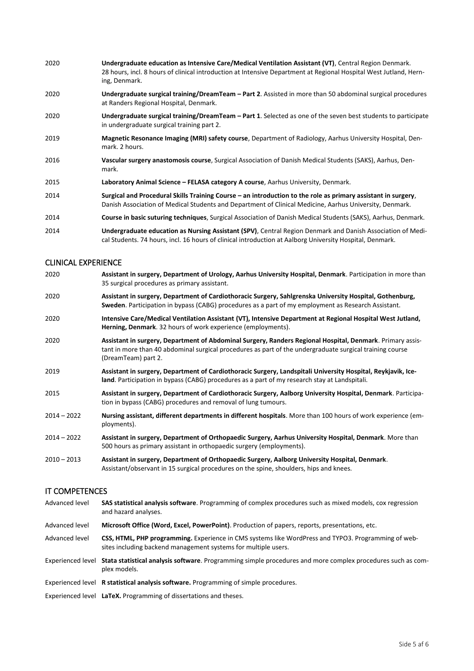| 2020 | Undergraduate education as Intensive Care/Medical Ventilation Assistant (VT), Central Region Denmark.<br>28 hours, incl. 8 hours of clinical introduction at Intensive Department at Regional Hospital West Jutland, Hern-<br>ing, Denmark. |
|------|---------------------------------------------------------------------------------------------------------------------------------------------------------------------------------------------------------------------------------------------|
| 2020 | Undergraduate surgical training/DreamTeam - Part 2. Assisted in more than 50 abdominal surgical procedures<br>at Randers Regional Hospital, Denmark.                                                                                        |
| 2020 | Undergraduate surgical training/DreamTeam – Part 1. Selected as one of the seven best students to participate<br>in undergraduate surgical training part 2.                                                                                 |
| 2019 | Magnetic Resonance Imaging (MRI) safety course, Department of Radiology, Aarhus University Hospital, Den-<br>mark. 2 hours.                                                                                                                 |
| 2016 | Vascular surgery anastomosis course, Surgical Association of Danish Medical Students (SAKS), Aarhus, Den-<br>mark.                                                                                                                          |
| 2015 | Laboratory Animal Science - FELASA category A course, Aarhus University, Denmark.                                                                                                                                                           |
| 2014 | Surgical and Procedural Skills Training Course – an introduction to the role as primary assistant in surgery,<br>Danish Association of Medical Students and Department of Clinical Medicine, Aarhus University, Denmark.                    |
| 2014 | Course in basic suturing techniques, Surgical Association of Danish Medical Students (SAKS), Aarhus, Denmark.                                                                                                                               |
| 2014 | Undergraduate education as Nursing Assistant (SPV), Central Region Denmark and Danish Association of Medi-                                                                                                                                  |

cal Students. 74 hours, incl. 16 hours of clinical introduction at Aalborg University Hospital, Denmark.

#### CLINICAL EXPERIENCE

- 2020 **Assistant in surgery, Department of Urology, Aarhus University Hospital, Denmark**. Participation in more than 35 surgical procedures as primary assistant. 2020 **Assistant in surgery, Department of Cardiothoracic Surgery, Sahlgrenska University Hospital, Gothenburg, Sweden**. Participation in bypass (CABG) procedures as a part of my employment as Research Assistant. 2020 **Intensive Care/Medical Ventilation Assistant (VT), Intensive Department at Regional Hospital West Jutland, Herning, Denmark**. 32 hours of work experience (employments). 2020 **Assistant in surgery, Department of Abdominal Surgery, Randers Regional Hospital, Denmark**. Primary assistant in more than 40 abdominal surgical procedures as part of the undergraduate surgical training course (DreamTeam) part 2. 2019 **Assistant in surgery, Department of Cardiothoracic Surgery, Landspitali University Hospital, Reykjavik, Iceland**. Participation in bypass (CABG) procedures as a part of my research stay at Landspitali. 2015 **Assistant in surgery, Department of Cardiothoracic Surgery, Aalborg University Hospital, Denmark**. Participation in bypass (CABG) procedures and removal of lung tumours. 2014 – 2022 **Nursing assistant, different departments in different hospitals**. More than 100 hours of work experience (employments).
- 2014 2022 **Assistant in surgery, Department of Orthopaedic Surgery, Aarhus University Hospital, Denmark**. More than 500 hours as primary assistant in orthopaedic surgery (employments).
- 2010 2013 **Assistant in surgery, Department of Orthopaedic Surgery, Aalborg University Hospital, Denmark**. Assistant/observant in 15 surgical procedures on the spine, shoulders, hips and knees.

#### IT COMPETENCES

- Advanced level **SAS statistical analysis software**. Programming of complex procedures such as mixed models, cox regression and hazard analyses.
- Advanced level **Microsoft Office (Word, Excel, PowerPoint)**. Production of papers, reports, presentations, etc.
- Advanced level **CSS, HTML, PHP programming.** Experience in CMS systems like WordPress and TYPO3. Programming of websites including backend management systems for multiple users.
- Experienced level **Stata statistical analysis software**. Programming simple procedures and more complex procedures such as complex models.
- Experienced level **R statistical analysis software.** Programming of simple procedures.
- Experienced level **LaTeX.** Programming of dissertations and theses.